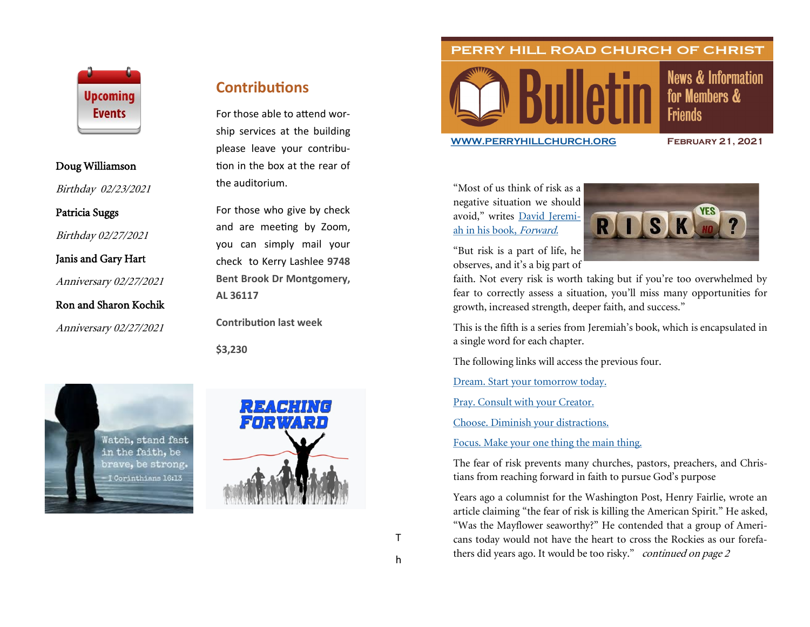

### Doug Williamson

Birthday 02/23/2021

Patricia Suggs

Birthday 02/27/2021

Janis and Gary Hart

Anniversary 02/27/2021

Ron and Sharon Kochik

Anniversary 02/27/2021

## **Contributions**

For those able to attend worship services at the building please leave your contribution in the box at the rear of the auditorium.

For those who give by check and are meeting by Zoom, you can simply mail your check to Kerry Lashlee **9748 Bent Brook Dr Montgomery, AL 36117**

**Contribution last week**

**\$3,230**





## PERRY HILL ROAD CHURCH OF CHRIST



### **News & Information** for Members & **Friends**

#### **[WWW.PERRYHILLCHURCH.ORG](http://www.perryhillchurch.org) February 21, 2021**

"Most of us think of risk as a negative situation we should avoid," writes [David Jeremi](https://www.amazon.com/Forward-Discovering-Presence-Purpose-Tomorrow/dp/0785224025)[ah in his book,](https://www.amazon.com/Forward-Discovering-Presence-Purpose-Tomorrow/dp/0785224025) Forward.

"But risk is a part of life, he observes, and it's a big part of



faith. Not every risk is worth taking but if you're too overwhelmed by fear to correctly assess a situation, you'll miss many opportunities for growth, increased strength, deeper faith, and success."

This is the fifth is a series from Jeremiah's book, which is encapsulated in a single word for each chapter.

The following links will access the previous four.

[Dream. Start your tomorrow today.](https://thepreachersword.com/2021/01/18/word-of-the-week-dream/)

[Pray. Consult with your Creator.](https://thepreachersword.com/2021/01/25/word-of-week-pray/)

[Choose. Diminish your distractions.](https://thepreachersword.com/2021/02/01/word-of-the-week-choose-2/)

[Focus. Make your one thing the main thing.](https://thepreachersword.com/2021/02/08/word-of-the-week-focus-2/)

The fear of risk prevents many churches, pastors, preachers, and Christians from reaching forward in faith to pursue God's purpose

Years ago a columnist for the Washington Post, Henry Fairlie, wrote an article claiming "the fear of risk is killing the American Spirit." He asked, "Was the Mayflower seaworthy?" He contended that a group of Americans today would not have the heart to cross the Rockies as our forefathers did years ago. It would be too risky." *continued on page 2*